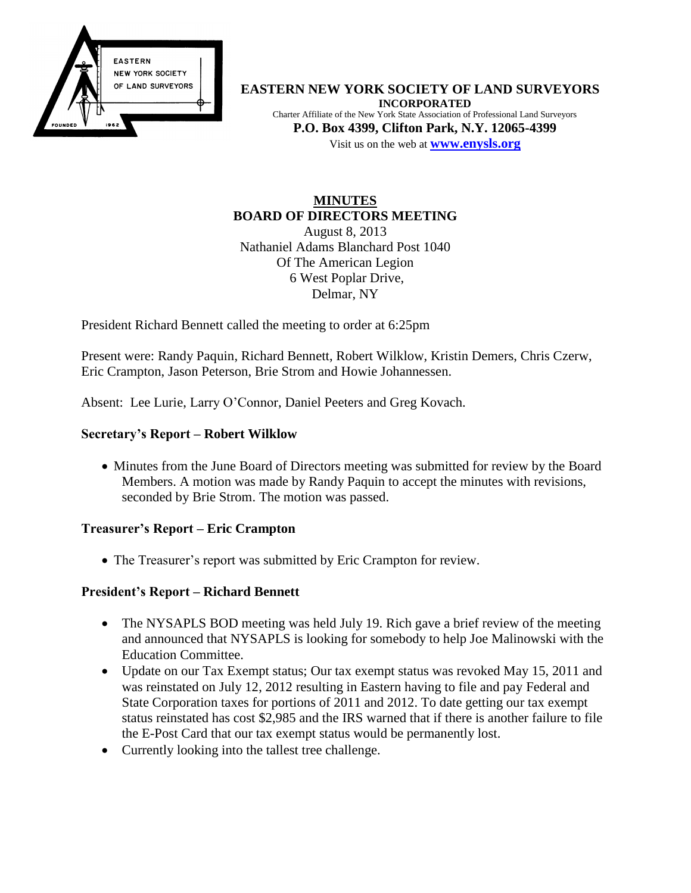

**EASTERN NEW YORK SOCIETY OF LAND SURVEYORS INCORPORATED** Charter Affiliate of the New York State Association of Professional Land Surveyors **P.O. Box 4399, Clifton Park, N.Y. 12065-4399** Visit us on the web at **[www.e](http://www.enysls.org/)nysls.org**

#### **MINUTES BOARD OF DIRECTORS MEETING** August 8, 2013

Nathaniel Adams Blanchard Post 1040 Of The American Legion 6 West Poplar Drive, Delmar, NY

President Richard Bennett called the meeting to order at 6:25pm

Present were: Randy Paquin, Richard Bennett, Robert Wilklow, Kristin Demers, Chris Czerw, Eric Crampton, Jason Peterson, Brie Strom and Howie Johannessen.

Absent: Lee Lurie, Larry O'Connor, Daniel Peeters and Greg Kovach.

### **Secretary's Report – Robert Wilklow**

• Minutes from the June Board of Directors meeting was submitted for review by the Board Members. A motion was made by Randy Paquin to accept the minutes with revisions, seconded by Brie Strom. The motion was passed.

#### **Treasurer's Report – Eric Crampton**

• The Treasurer's report was submitted by Eric Crampton for review.

### **President's Report – Richard Bennett**

- The NYSAPLS BOD meeting was held July 19. Rich gave a brief review of the meeting and announced that NYSAPLS is looking for somebody to help Joe Malinowski with the Education Committee.
- Update on our Tax Exempt status; Our tax exempt status was revoked May 15, 2011 and was reinstated on July 12, 2012 resulting in Eastern having to file and pay Federal and State Corporation taxes for portions of 2011 and 2012. To date getting our tax exempt status reinstated has cost \$2,985 and the IRS warned that if there is another failure to file the E-Post Card that our tax exempt status would be permanently lost.
- Currently looking into the tallest tree challenge.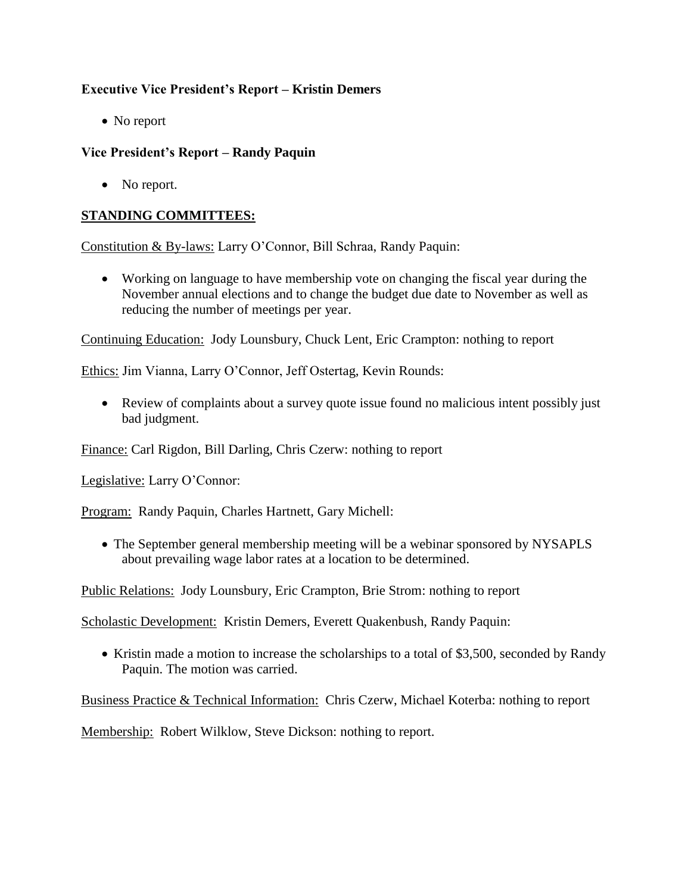# **Executive Vice President's Report – Kristin Demers**

• No report

# **Vice President's Report – Randy Paquin**

• No report.

# **STANDING COMMITTEES:**

Constitution & By-laws: Larry O'Connor, Bill Schraa, Randy Paquin:

 Working on language to have membership vote on changing the fiscal year during the November annual elections and to change the budget due date to November as well as reducing the number of meetings per year.

Continuing Education: Jody Lounsbury, Chuck Lent, Eric Crampton: nothing to report

Ethics: Jim Vianna, Larry O'Connor, Jeff Ostertag, Kevin Rounds:

 Review of complaints about a survey quote issue found no malicious intent possibly just bad judgment.

Finance: Carl Rigdon, Bill Darling, Chris Czerw: nothing to report

Legislative: Larry O'Connor:

Program: Randy Paquin, Charles Hartnett, Gary Michell:

• The September general membership meeting will be a webinar sponsored by NYSAPLS about prevailing wage labor rates at a location to be determined.

Public Relations: Jody Lounsbury, Eric Crampton, Brie Strom: nothing to report

Scholastic Development: Kristin Demers, Everett Quakenbush, Randy Paquin:

• Kristin made a motion to increase the scholarships to a total of \$3,500, seconded by Randy Paquin. The motion was carried.

Business Practice & Technical Information: Chris Czerw, Michael Koterba: nothing to report

Membership: Robert Wilklow, Steve Dickson: nothing to report.